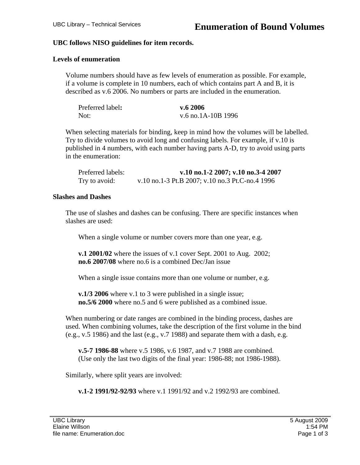### **UBC follows NISO guidelines for item records.**

### **Levels of enumeration**

Volume numbers should have as few levels of enumeration as possible. For example, if a volume is complete in 10 numbers, each of which contains part A and B, it is described as v.6 2006. No numbers or parts are included in the enumeration.

| Preferred label: | v.62006            |
|------------------|--------------------|
| Not:             | v.6 no.1A-10B 1996 |

When selecting materials for binding, keep in mind how the volumes will be labelled. Try to divide volumes to avoid long and confusing labels. For example, if v.10 is published in 4 numbers, with each number having parts A-D, try to avoid using parts in the enumeration:

| Preferred labels: | v.10 no.1-2 2007; v.10 no.3-4 2007              |
|-------------------|-------------------------------------------------|
| Try to avoid:     | v.10 no.1-3 Pt.B 2007; v.10 no.3 Pt.C-no.4 1996 |

#### **Slashes and Dashes**

The use of slashes and dashes can be confusing. There are specific instances when slashes are used:

When a single volume or number covers more than one year, e.g.

**v.1 2001/02** where the issues of v.1 cover Sept. 2001 to Aug. 2002; **no.6 2007/08** where no.6 is a combined Dec/Jan issue

When a single issue contains more than one volume or number, e.g.

**v.1/3 2006** where v.1 to 3 were published in a single issue; **no.5/6 2000** where no.5 and 6 were published as a combined issue.

When numbering or date ranges are combined in the binding process, dashes are used. When combining volumes, take the description of the first volume in the bind (e.g., v.5 1986) and the last (e.g., v.7 1988) and separate them with a dash, e.g.

**v.5-7 1986-88** where v.5 1986, v.6 1987, and v.7 1988 are combined. (Use only the last two digits of the final year: 1986-88; not 1986-1988).

Similarly, where split years are involved:

**v.1-2 1991/92-92/93** where v.1 1991/92 and v.2 1992/93 are combined.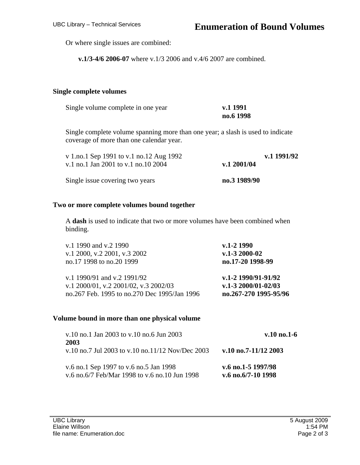Or where single issues are combined:

**v.1/3-4/6 2006-07** where v.1/3 2006 and v.4/6 2007 are combined.

#### **Single complete volumes**

| Single volume complete in one year | v.1 1991  |
|------------------------------------|-----------|
|                                    | no.6 1998 |

Single complete volume spanning more than one year; a slash is used to indicate coverage of more than one calendar year.

| v 1.no.1 Sep 1991 to v.1 no.12 Aug 1992 |              | v.1 1991/92 |
|-----------------------------------------|--------------|-------------|
| v.1 no.1 Jan 2001 to v.1 no.10 2004     | v.1 2001/04  |             |
| Single issue covering two years         | no.3 1989/90 |             |

#### **Two or more complete volumes bound together**

A **dash** is used to indicate that two or more volumes have been combined when binding.

| v.1 1990 and v.2 1990                        | v.1-2 1990               |
|----------------------------------------------|--------------------------|
| v.1 2000, v.2 2001, v.3 2002                 | $v.1 - 32000 - 02$       |
| no.17 1998 to no.20 1999                     | no.17-20 1998-99         |
| v.1 1990/91 and v.2 1991/92                  | v.1-2 1990/91-91/92      |
| v.1 2000/01, v.2 2001/02, v.3 2002/03        | $v.1 - 32000/01 - 02/03$ |
| no.267 Feb. 1995 to no.270 Dec 1995/Jan 1996 | no.267-270 1995-95/96    |

#### **Volume bound in more than one physical volume**

| v.10 no.1 Jan 2003 to v.10 no.6 Jun 2003                                                | $v.10$ no.1-6                              |
|-----------------------------------------------------------------------------------------|--------------------------------------------|
| 2003<br>v.10 no.7 Jul 2003 to v.10 no.11/12 Nov/Dec 2003                                | v.10 no.7-11/12 2003                       |
| v.6 no.1 Sep 1997 to v.6 no.5 Jan 1998<br>v.6 no.6/7 Feb/Mar 1998 to v.6 no.10 Jun 1998 | v.6 no.1-5 $1997/98$<br>v.6 no.6/7-10 1998 |